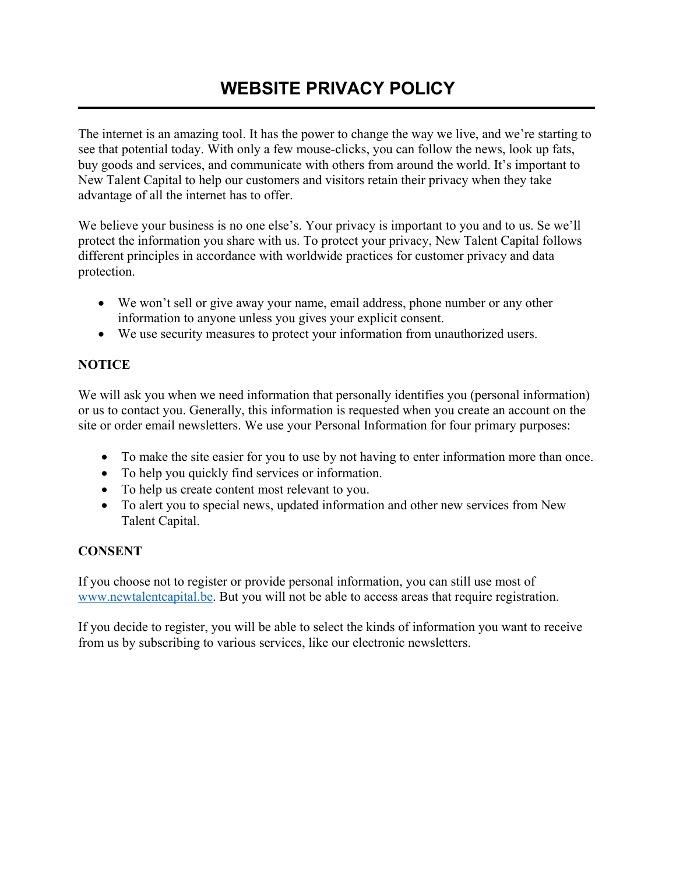# **WEBSITE PRIVACY POLICY**

The internet is an amazing tool. It has the power to change the way we live, and we're starting to see that potential today. With only a few mouse-clicks, you can follow the news, look up fats, buy goods and services, and communicate with others from around the world. It's important to New Talent Capital to help our customers and visitors retain their privacy when they take advantage of all the internet has to offer.

We believe your business is no one else's. Your privacy is important to you and to us. Se we'll protect the information you share with us. To protect your privacy, New Talent Capital follows different principles in accordance with worldwide practices for customer privacy and data protection.

- We won't sell or give away your name, email address, phone number or any other information to anyone unless you gives your explicit consent.
- We use security measures to protect your information from unauthorized users.

# **NOTICE**

We will ask you when we need information that personally identifies you (personal information) or us to contact you. Generally, this information is requested when you create an account on the site or order email newsletters. We use your Personal Information for four primary purposes:

- To make the site easier for you to use by not having to enter information more than once.
- To help you quickly find services or information.
- To help us create content most relevant to you.
- To alert you to special news, updated information and other new services from New Talent Capital.

## **CONSENT**

If you choose not to register or provide personal information, you can still use most of [www.newtalentcapital.be.](http://www.newtalentcapital.be/) But you will not be able to access areas that require registration.

If you decide to register, you will be able to select the kinds of information you want to receive from us by subscribing to various services, like our electronic newsletters.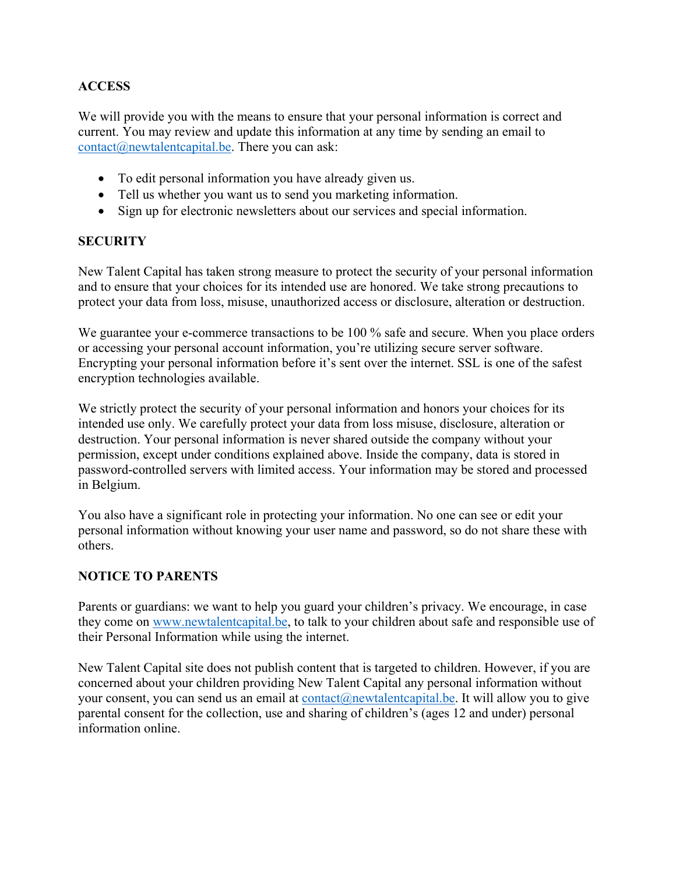# **ACCESS**

We will provide you with the means to ensure that your personal information is correct and current. You may review and update this information at any time by sending an email to [contact@newtalentcapital.be.](mailto:contact@newtalentcapital.be) There you can ask:

- To edit personal information you have already given us.
- Tell us whether you want us to send you marketing information.
- Sign up for electronic newsletters about our services and special information.

#### **SECURITY**

New Talent Capital has taken strong measure to protect the security of your personal information and to ensure that your choices for its intended use are honored. We take strong precautions to protect your data from loss, misuse, unauthorized access or disclosure, alteration or destruction.

We guarantee your e-commerce transactions to be 100 % safe and secure. When you place orders or accessing your personal account information, you're utilizing secure server software. Encrypting your personal information before it's sent over the internet. SSL is one of the safest encryption technologies available.

We strictly protect the security of your personal information and honors your choices for its intended use only. We carefully protect your data from loss misuse, disclosure, alteration or destruction. Your personal information is never shared outside the company without your permission, except under conditions explained above. Inside the company, data is stored in password-controlled servers with limited access. Your information may be stored and processed in Belgium.

You also have a significant role in protecting your information. No one can see or edit your personal information without knowing your user name and password, so do not share these with others.

## **NOTICE TO PARENTS**

Parents or guardians: we want to help you guard your children's privacy. We encourage, in case they come on [www.newtalentcapital.be,](http://www.newtalentcapital.be/) to talk to your children about safe and responsible use of their Personal Information while using the internet.

New Talent Capital site does not publish content that is targeted to children. However, if you are concerned about your children providing New Talent Capital any personal information without your consent, you can send us an email at [contact@newtalentcapital.be.](mailto:contact@newtalentcapital.be) It will allow you to give parental consent for the collection, use and sharing of children's (ages 12 and under) personal information online.